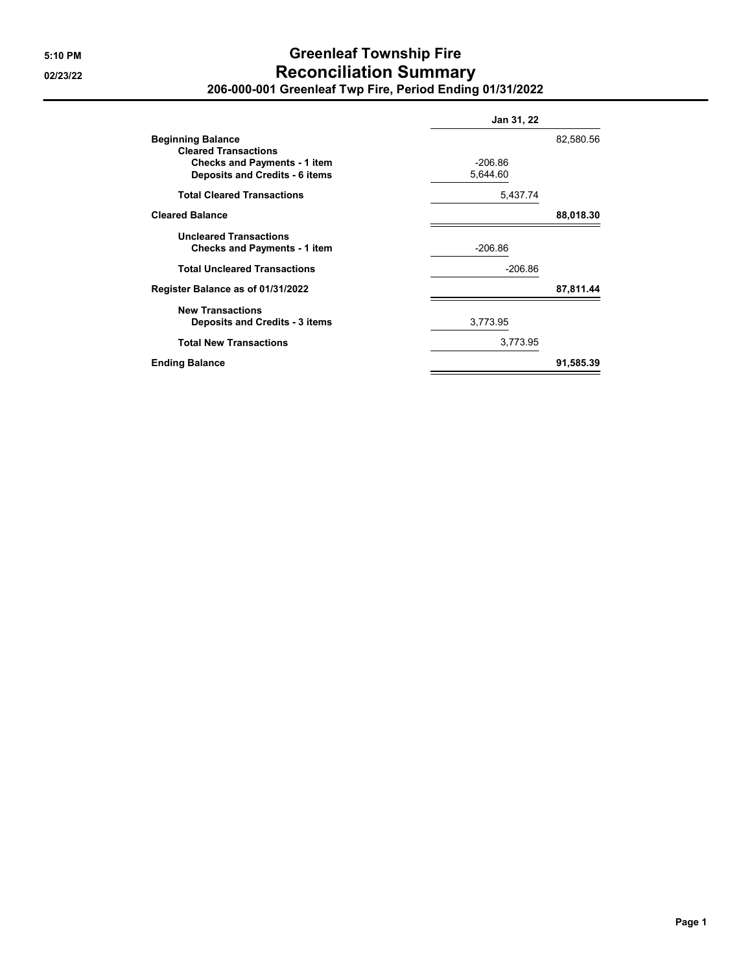## **5:10 PM Greenleaf Township Fire 02/23/22 Reconciliation Summary 206-000-001 Greenleaf Twp Fire, Period Ending 01/31/2022**

|                                                                              | Jan 31, 22            |           |  |
|------------------------------------------------------------------------------|-----------------------|-----------|--|
| <b>Beginning Balance</b><br><b>Cleared Transactions</b>                      |                       | 82,580.56 |  |
| <b>Checks and Payments - 1 item</b><br><b>Deposits and Credits - 6 items</b> | $-206.86$<br>5,644.60 |           |  |
| <b>Total Cleared Transactions</b>                                            | 5,437.74              |           |  |
| <b>Cleared Balance</b>                                                       |                       | 88,018.30 |  |
| <b>Uncleared Transactions</b><br><b>Checks and Payments - 1 item</b>         | $-206.86$             |           |  |
| <b>Total Uncleared Transactions</b>                                          | $-206.86$             |           |  |
| Register Balance as of 01/31/2022                                            |                       | 87,811.44 |  |
| <b>New Transactions</b><br><b>Deposits and Credits - 3 items</b>             | 3,773.95              |           |  |
| <b>Total New Transactions</b>                                                | 3,773.95              |           |  |
| <b>Ending Balance</b>                                                        |                       | 91,585.39 |  |